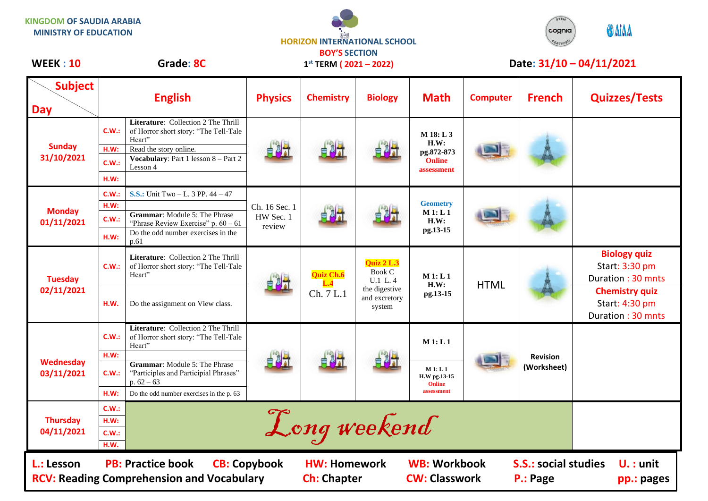**KINGDOM OF SAUDIA ARABIA MINISTRY OF EDUCATION**



**1 st TERM ( 2021 – 2022)**



## WEEK : 10 Grade: 8C 1<sup>st</sup> TERM (2021 – 2022) Date: 31/10 – 04/11/2021

| <b>Subject</b><br><b>Day</b>                                                                                                                                                                                                                             |                                | <b>English</b>                                                                                                                                                                                                                      | <b>Physics</b>                       | <b>Chemistry</b>              | <b>Biology</b>                                                                            | <b>Math</b>                                                      | <b>Computer</b> | <b>French</b>                  | <b>Quizzes/Tests</b>                                                                                                       |
|----------------------------------------------------------------------------------------------------------------------------------------------------------------------------------------------------------------------------------------------------------|--------------------------------|-------------------------------------------------------------------------------------------------------------------------------------------------------------------------------------------------------------------------------------|--------------------------------------|-------------------------------|-------------------------------------------------------------------------------------------|------------------------------------------------------------------|-----------------|--------------------------------|----------------------------------------------------------------------------------------------------------------------------|
| <b>Sunday</b><br>31/10/2021                                                                                                                                                                                                                              | C.W.:<br>H.W:<br>C.W.:<br>H.W: | Literature: Collection 2 The Thrill<br>of Horror short story: "The Tell-Tale<br>Heart"<br>Read the story online.<br><b>Vocabulary:</b> Part 1 lesson $8 - Part 2$<br>Lesson 4                                                       |                                      |                               |                                                                                           | $M$ 18: L 3<br>H.W:<br>pg.872-873<br><b>Online</b><br>assessment |                 |                                |                                                                                                                            |
| <b>Monday</b><br>01/11/2021                                                                                                                                                                                                                              | C.W.:<br>H.W:<br>C.W.:<br>H.W: | <b>S.S.:</b> Unit Two $-L$ , 3 PP, $44 - 47$<br><b>Grammar:</b> Module 5: The Phrase<br>"Phrase Review Exercise" p. $60 - 61$<br>Do the odd number exercises in the<br>p.61                                                         | Ch. 16 Sec. 1<br>HW Sec. 1<br>review |                               |                                                                                           | <b>Geometry</b><br><b>M</b> 1: <b>L</b> 1<br>H.W:<br>pg.13-15    |                 |                                |                                                                                                                            |
| <b>Tuesday</b><br>02/11/2021                                                                                                                                                                                                                             | C.W.:<br>H.W.                  | <b>Literature:</b> Collection 2 The Thrill<br>of Horror short story: "The Tell-Tale<br>Heart"<br>Do the assignment on View class.                                                                                                   |                                      | Quiz Ch.6<br>L.4<br>Ch. 7 L.1 | <b>Ouiz 2 L.3</b><br><b>Book C</b><br>U.1 L.4<br>the digestive<br>and excretory<br>system | M1: L1<br>H.W:<br>pg.13-15                                       | <b>HTML</b>     |                                | <b>Biology quiz</b><br>Start: 3:30 pm<br>Duration: 30 mnts<br><b>Chemistry quiz</b><br>Start: 4:30 pm<br>Duration: 30 mnts |
| <b>Wednesday</b><br>03/11/2021                                                                                                                                                                                                                           | C.W.:<br>H.W:<br>CM:<br>H.W:   | Literature: Collection 2 The Thrill<br>of Horror short story: "The Tell-Tale<br>Heart"<br><b>Grammar:</b> Module 5: The Phrase<br>"Participles and Participial Phrases"<br>p. $62 - 63$<br>Do the odd number exercises in the p. 63 |                                      |                               |                                                                                           | M1: L1<br>M1: L1<br>H.W pg.13-15<br><b>Online</b><br>assessment  |                 | <b>Revision</b><br>(Worksheet) |                                                                                                                            |
| <b>Thursday</b><br>04/11/2021                                                                                                                                                                                                                            | C.W.:<br>H.W:<br>C.W.:<br>H.W. |                                                                                                                                                                                                                                     |                                      | Long weekend                  |                                                                                           |                                                                  |                 |                                |                                                                                                                            |
| <b>WB: Workbook</b><br><b>PB: Practice book</b><br><b>CB: Copybook</b><br><b>S.S.: social studies</b><br><b>HW: Homework</b><br>L.: Lesson<br><b>RCV: Reading Comprehension and Vocabulary</b><br><b>CW: Classwork</b><br><b>Ch: Chapter</b><br>P.: Page |                                |                                                                                                                                                                                                                                     |                                      |                               |                                                                                           |                                                                  |                 | $U. :$ unit<br>pp.: pages      |                                                                                                                            |